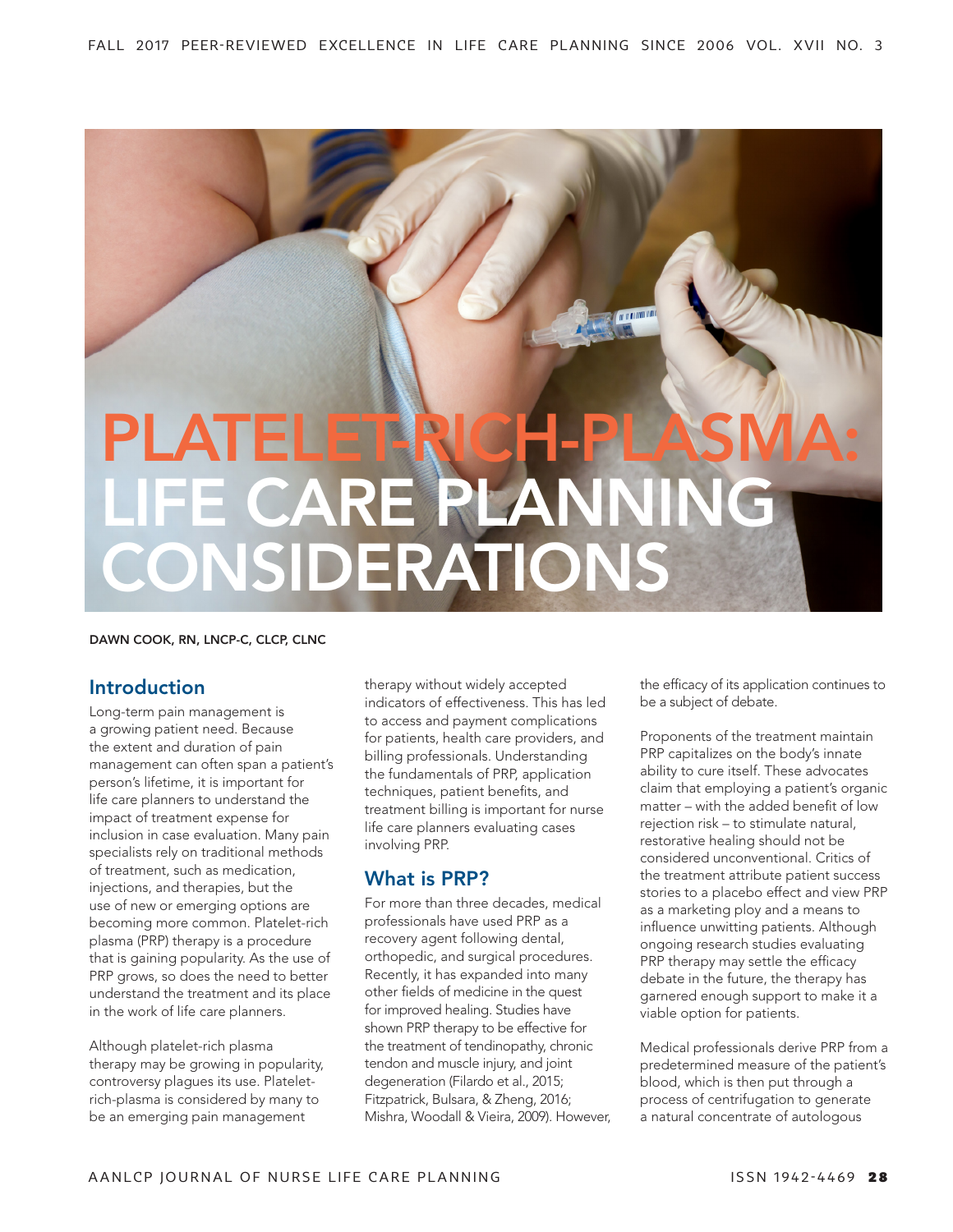# **COLORINA** PLATELET RICH-PLASMA: LIFE CARE PLANNING CONSIDERATIONS

#### DAWN COOK, RN, LNCP-C, CLCP, CLNC

## Introduction

Long-term pain management is a growing patient need. Because the extent and duration of pain management can often span a patient's person's lifetime, it is important for life care planners to understand the impact of treatment expense for inclusion in case evaluation. Many pain specialists rely on traditional methods of treatment, such as medication, injections, and therapies, but the use of new or emerging options are becoming more common. Platelet-rich plasma (PRP) therapy is a procedure that is gaining popularity. As the use of PRP grows, so does the need to better understand the treatment and its place in the work of life care planners.

Although platelet-rich plasma therapy may be growing in popularity, controversy plagues its use. Plateletrich-plasma is considered by many to be an emerging pain management

therapy without widely accepted indicators of effectiveness. This has led to access and payment complications for patients, health care providers, and billing professionals. Understanding the fundamentals of PRP, application techniques, patient benefits, and treatment billing is important for nurse life care planners evaluating cases involving PRP.

## What is PRP?

For more than three decades, medical professionals have used PRP as a recovery agent following dental, orthopedic, and surgical procedures. Recently, it has expanded into many other fields of medicine in the quest for improved healing. Studies have shown PRP therapy to be effective for the treatment of tendinopathy, chronic tendon and muscle injury, and joint degeneration (Filardo et al., 2015; Fitzpatrick, Bulsara, & Zheng, 2016; Mishra, Woodall & Vieira, 2009). However, the efficacy of its application continues to be a subject of debate.

Proponents of the treatment maintain PRP capitalizes on the body's innate ability to cure itself. These advocates claim that employing a patient's organic matter – with the added benefit of low rejection risk – to stimulate natural, restorative healing should not be considered unconventional. Critics of the treatment attribute patient success stories to a placebo effect and view PRP as a marketing ploy and a means to influence unwitting patients. Although ongoing research studies evaluating PRP therapy may settle the efficacy debate in the future, the therapy has garnered enough support to make it a viable option for patients.

Medical professionals derive PRP from a predetermined measure of the patient's blood, which is then put through a process of centrifugation to generate a natural concentrate of autologous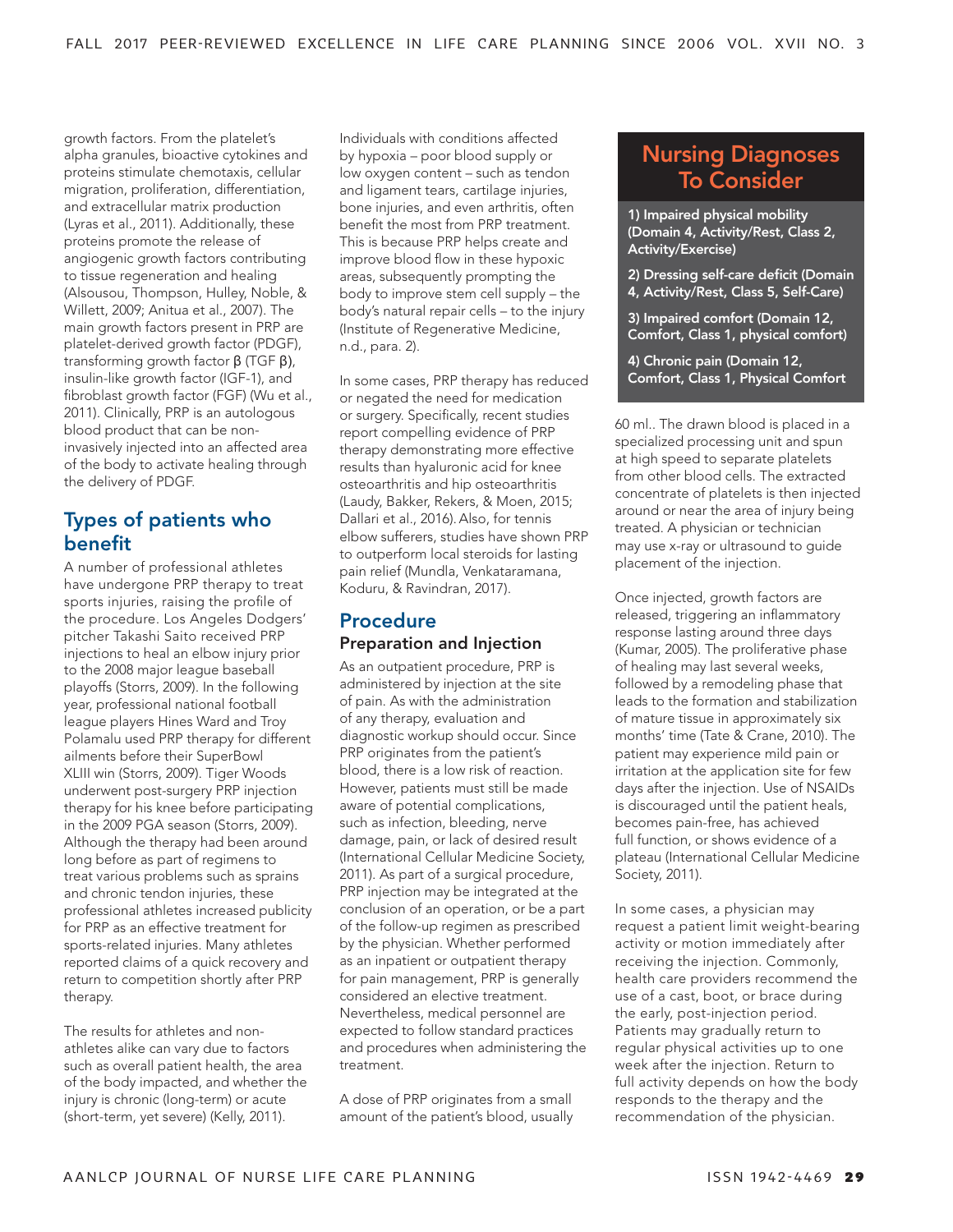growth factors. From the platelet's alpha granules, bioactive cytokines and proteins stimulate chemotaxis, cellular migration, proliferation, differentiation, and extracellular matrix production (Lyras et al., 2011). Additionally, these proteins promote the release of angiogenic growth factors contributing to tissue regeneration and healing (Alsousou, Thompson, Hulley, Noble, & Willett, 2009; Anitua et al., 2007). The main growth factors present in PRP are platelet-derived growth factor (PDGF), transforming growth factor β (TGF β), insulin-like growth factor (IGF-1), and fibroblast growth factor (FGF) (Wu et al., 2011). Clinically, PRP is an autologous blood product that can be noninvasively injected into an affected area of the body to activate healing through the delivery of PDGF.

## Types of patients who benefit

A number of professional athletes have undergone PRP therapy to treat sports injuries, raising the profile of the procedure. Los Angeles Dodgers' pitcher Takashi Saito received PRP injections to heal an elbow injury prior to the 2008 major league baseball playoffs (Storrs, 2009). In the following year, professional national football league players Hines Ward and Troy Polamalu used PRP therapy for different ailments before their SuperBowl XLIII win (Storrs, 2009). Tiger Woods underwent post-surgery PRP injection therapy for his knee before participating in the 2009 PGA season (Storrs, 2009). Although the therapy had been around long before as part of regimens to treat various problems such as sprains and chronic tendon injuries, these professional athletes increased publicity for PRP as an effective treatment for sports-related injuries. Many athletes reported claims of a quick recovery and return to competition shortly after PRP therapy.

The results for athletes and nonathletes alike can vary due to factors such as overall patient health, the area of the body impacted, and whether the injury is chronic (long-term) or acute (short-term, yet severe) (Kelly, 2011).

Individuals with conditions affected by hypoxia – poor blood supply or low oxygen content – such as tendon and ligament tears, cartilage injuries, bone injuries, and even arthritis, often benefit the most from PRP treatment. This is because PRP helps create and improve blood flow in these hypoxic areas, subsequently prompting the body to improve stem cell supply – the body's natural repair cells – to the injury (Institute of Regenerative Medicine, n.d., para. 2).

In some cases, PRP therapy has reduced or negated the need for medication or surgery. Specifically, recent studies report compelling evidence of PRP therapy demonstrating more effective results than hyaluronic acid for knee osteoarthritis and hip osteoarthritis (Laudy, Bakker, Rekers, & Moen, 2015; Dallari et al., 2016). Also, for tennis elbow sufferers, studies have shown PRP to outperform local steroids for lasting pain relief (Mundla, Venkataramana, Koduru, & Ravindran, 2017).

### Procedure Preparation and Injection

As an outpatient procedure, PRP is administered by injection at the site of pain. As with the administration of any therapy, evaluation and diagnostic workup should occur. Since PRP originates from the patient's blood, there is a low risk of reaction. However, patients must still be made aware of potential complications, such as infection, bleeding, nerve damage, pain, or lack of desired result (International Cellular Medicine Society, 2011). As part of a surgical procedure, PRP injection may be integrated at the conclusion of an operation, or be a part of the follow-up regimen as prescribed by the physician. Whether performed as an inpatient or outpatient therapy for pain management, PRP is generally considered an elective treatment. Nevertheless, medical personnel are expected to follow standard practices and procedures when administering the treatment.

A dose of PRP originates from a small amount of the patient's blood, usually

# Nursing Diagnoses To Consider

1) Impaired physical mobility (Domain 4, Activity/Rest, Class 2, Activity/Exercise)

- 2) Dressing self-care deficit (Domain 4, Activity/Rest, Class 5, Self-Care)
- 3) Impaired comfort (Domain 12, Comfort, Class 1, physical comfort)

4) Chronic pain (Domain 12, Comfort, Class 1, Physical Comfort

60 ml.. The drawn blood is placed in a specialized processing unit and spun at high speed to separate platelets from other blood cells. The extracted concentrate of platelets is then injected around or near the area of injury being treated. A physician or technician may use x-ray or ultrasound to guide placement of the injection.

Once injected, growth factors are released, triggering an inflammatory response lasting around three days (Kumar, 2005). The proliferative phase of healing may last several weeks, followed by a remodeling phase that leads to the formation and stabilization of mature tissue in approximately six months' time (Tate & Crane, 2010). The patient may experience mild pain or irritation at the application site for few days after the injection. Use of NSAIDs is discouraged until the patient heals, becomes pain-free, has achieved full function, or shows evidence of a plateau (International Cellular Medicine Society, 2011).

In some cases, a physician may request a patient limit weight-bearing activity or motion immediately after receiving the injection. Commonly, health care providers recommend the use of a cast, boot, or brace during the early, post-injection period. Patients may gradually return to regular physical activities up to one week after the injection. Return to full activity depends on how the body responds to the therapy and the recommendation of the physician.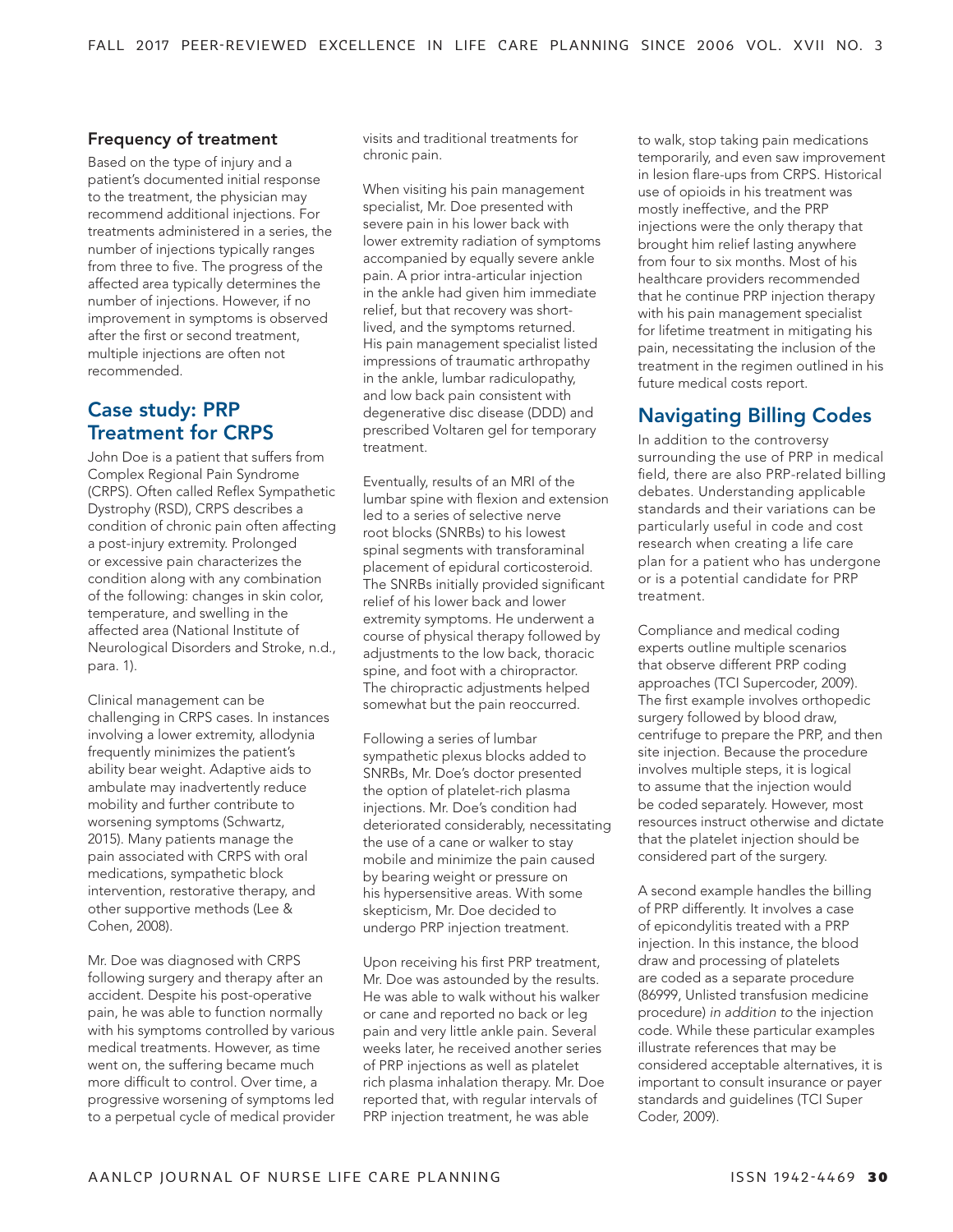#### Frequency of treatment

Based on the type of injury and a patient's documented initial response to the treatment, the physician may recommend additional injections. For treatments administered in a series, the number of injections typically ranges from three to five. The progress of the affected area typically determines the number of injections. However, if no improvement in symptoms is observed after the first or second treatment, multiple injections are often not recommended.

## Case study: PRP Treatment for CRPS

John Doe is a patient that suffers from Complex Regional Pain Syndrome (CRPS). Often called Reflex Sympathetic Dystrophy (RSD), CRPS describes a condition of chronic pain often affecting a post-injury extremity. Prolonged or excessive pain characterizes the condition along with any combination of the following: changes in skin color, temperature, and swelling in the affected area (National Institute of Neurological Disorders and Stroke, n.d., para. 1).

Clinical management can be challenging in CRPS cases. In instances involving a lower extremity, allodynia frequently minimizes the patient's ability bear weight. Adaptive aids to ambulate may inadvertently reduce mobility and further contribute to worsening symptoms (Schwartz, 2015). Many patients manage the pain associated with CRPS with oral medications, sympathetic block intervention, restorative therapy, and other supportive methods (Lee & Cohen, 2008).

Mr. Doe was diagnosed with CRPS following surgery and therapy after an accident. Despite his post-operative pain, he was able to function normally with his symptoms controlled by various medical treatments. However, as time went on, the suffering became much more difficult to control. Over time, a progressive worsening of symptoms led to a perpetual cycle of medical provider visits and traditional treatments for chronic pain.

When visiting his pain management specialist, Mr. Doe presented with severe pain in his lower back with lower extremity radiation of symptoms accompanied by equally severe ankle pain. A prior intra-articular injection in the ankle had given him immediate relief, but that recovery was shortlived, and the symptoms returned. His pain management specialist listed impressions of traumatic arthropathy in the ankle, lumbar radiculopathy, and low back pain consistent with degenerative disc disease (DDD) and prescribed Voltaren gel for temporary treatment.

Eventually, results of an MRI of the lumbar spine with flexion and extension led to a series of selective nerve root blocks (SNRBs) to his lowest spinal segments with transforaminal placement of epidural corticosteroid. The SNRBs initially provided significant relief of his lower back and lower extremity symptoms. He underwent a course of physical therapy followed by adjustments to the low back, thoracic spine, and foot with a chiropractor. The chiropractic adjustments helped somewhat but the pain reoccurred.

Following a series of lumbar sympathetic plexus blocks added to SNRBs, Mr. Doe's doctor presented the option of platelet-rich plasma injections. Mr. Doe's condition had deteriorated considerably, necessitating the use of a cane or walker to stay mobile and minimize the pain caused by bearing weight or pressure on his hypersensitive areas. With some skepticism, Mr. Doe decided to undergo PRP injection treatment.

Upon receiving his first PRP treatment, Mr. Doe was astounded by the results. He was able to walk without his walker or cane and reported no back or leg pain and very little ankle pain. Several weeks later, he received another series of PRP injections as well as platelet rich plasma inhalation therapy. Mr. Doe reported that, with regular intervals of PRP injection treatment, he was able

to walk, stop taking pain medications temporarily, and even saw improvement in lesion flare-ups from CRPS. Historical use of opioids in his treatment was mostly ineffective, and the PRP injections were the only therapy that brought him relief lasting anywhere from four to six months. Most of his healthcare providers recommended that he continue PRP injection therapy with his pain management specialist for lifetime treatment in mitigating his pain, necessitating the inclusion of the treatment in the regimen outlined in his future medical costs report.

## Navigating Billing Codes

In addition to the controversy surrounding the use of PRP in medical field, there are also PRP-related billing debates. Understanding applicable standards and their variations can be particularly useful in code and cost research when creating a life care plan for a patient who has undergone or is a potential candidate for PRP treatment.

Compliance and medical coding experts outline multiple scenarios that observe different PRP coding approaches (TCI Supercoder, 2009). The first example involves orthopedic surgery followed by blood draw, centrifuge to prepare the PRP, and then site injection. Because the procedure involves multiple steps, it is logical to assume that the injection would be coded separately. However, most resources instruct otherwise and dictate that the platelet injection should be considered part of the surgery.

A second example handles the billing of PRP differently. It involves a case of epicondylitis treated with a PRP injection. In this instance, the blood draw and processing of platelets are coded as a separate procedure (86999, Unlisted transfusion medicine procedure) *in addition to* the injection code. While these particular examples illustrate references that may be considered acceptable alternatives, it is important to consult insurance or payer standards and guidelines (TCI Super Coder, 2009).